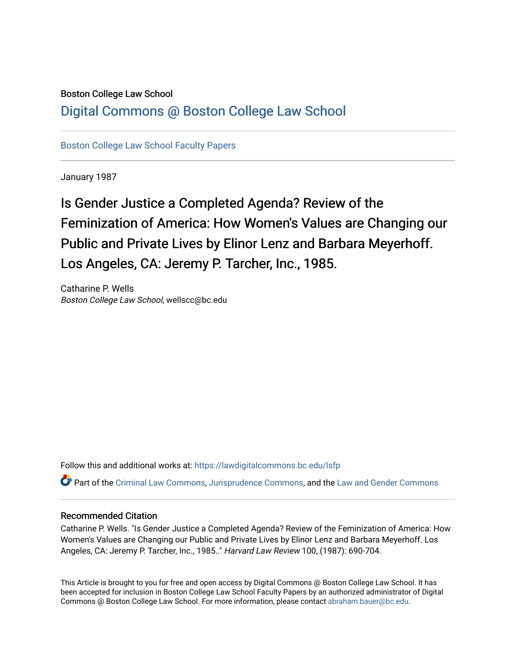## Boston College Law School

# [Digital Commons @ Boston College Law School](https://lawdigitalcommons.bc.edu/)

[Boston College Law School Faculty Papers](https://lawdigitalcommons.bc.edu/lsfp) 

January 1987

# Is Gender Justice a Completed Agenda? Review of the Feminization of America: How Women's Values are Changing our Public and Private Lives by Elinor Lenz and Barbara Meyerhoff. Los Angeles, CA: Jeremy P. Tarcher, Inc., 1985.

Catharine P. Wells Boston College Law School, wellscc@bc.edu

Follow this and additional works at: [https://lawdigitalcommons.bc.edu/lsfp](https://lawdigitalcommons.bc.edu/lsfp?utm_source=lawdigitalcommons.bc.edu%2Flsfp%2F881&utm_medium=PDF&utm_campaign=PDFCoverPages) 

Part of the [Criminal Law Commons,](http://network.bepress.com/hgg/discipline/912?utm_source=lawdigitalcommons.bc.edu%2Flsfp%2F881&utm_medium=PDF&utm_campaign=PDFCoverPages) [Jurisprudence Commons](http://network.bepress.com/hgg/discipline/610?utm_source=lawdigitalcommons.bc.edu%2Flsfp%2F881&utm_medium=PDF&utm_campaign=PDFCoverPages), and the Law and Gender Commons

# Recommended Citation

Catharine P. Wells. "Is Gender Justice a Completed Agenda? Review of the Feminization of America: How Women's Values are Changing our Public and Private Lives by Elinor Lenz and Barbara Meyerhoff. Los Angeles, CA: Jeremy P. Tarcher, Inc., 1985." Harvard Law Review 100, (1987): 690-704.

This Article is brought to you for free and open access by Digital Commons @ Boston College Law School. It has been accepted for inclusion in Boston College Law School Faculty Papers by an authorized administrator of Digital Commons @ Boston College Law School. For more information, please contact [abraham.bauer@bc.edu.](mailto:abraham.bauer@bc.edu)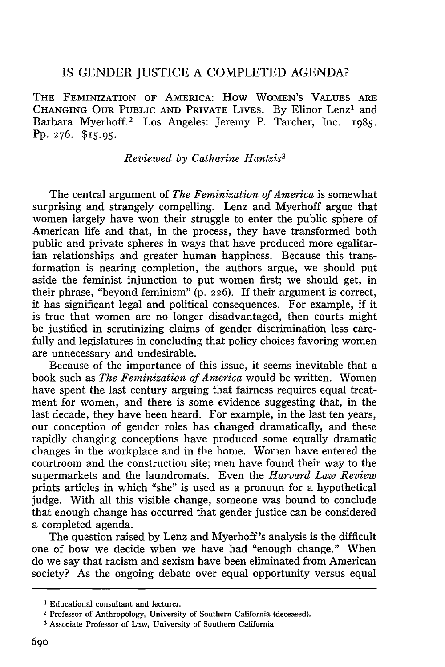## IS GENDER JUSTICE A COMPLETED AGENDA?

THE FEMINIZATION OF AMERICA: How **WOMEN'S VALUES** ARE **CHANGING** OUR PUBLIC **AND** PRIVATE LIVES. By Elinor Lenz' and Barbara Myerhoff.<sup>2</sup> Los Angeles: Jeremy P. Tarcher, Inc. 1985. Pp. **276.** \$15.95.

#### *Reviewed by Catharine Hantzis3*

The central argument of *The Feminization of America* is somewhat surprising and strangely compelling. Lenz and Myerhoff argue that women largely have won their struggle to enter the public sphere of American life and that, in the process, they have transformed both public and private spheres in ways that have produced more egalitarian relationships and greater human happiness. Because this transformation is nearing completion, the authors argue, we should put aside the feminist injunction to put women first; we should get, in their phrase, "beyond feminism" (p. **226).** If their argument is correct, it has significant legal and political consequences. For example, if it is true that women are no longer disadvantaged, then courts might be justified in scrutinizing claims of gender discrimination less carefully and legislatures in concluding that policy choices favoring women are unnecessary and undesirable.

Because of the importance of this issue, it seems inevitable that a book such as *The Feminization of America* would be written. Women have spent the last century arguing that fairness requires equal treatment for women, and there is some evidence suggesting that, in the last decade, they have been heard. For example, in the last ten years, our conception of gender roles has changed dramatically, and these rapidly changing conceptions have produced some equally dramatic changes in the workplace and in the home. Women have entered the courtroom and the construction site; men have found their way to the supermarkets and the laundromats. Even the *Harvard Law Review* prints articles in which "she" is used as a pronoun for a hypothetical judge. With all this visible change, someone was bound to conclude that enough change has occurred that gender justice can be considered a completed agenda.

The question raised by Lenz and Myerhoff's analysis is the difficult one of how we decide when we have had "enough change." When do we say that racism and sexism have been eliminated from American society? As the ongoing debate over equal opportunity versus equal

**I** Educational consultant **and** lecturer.

**<sup>2</sup>** Professor **of** Anthropology, University **of** Southern California (deceased).

**<sup>3</sup>** Associate Professor of Law, University of Southern California.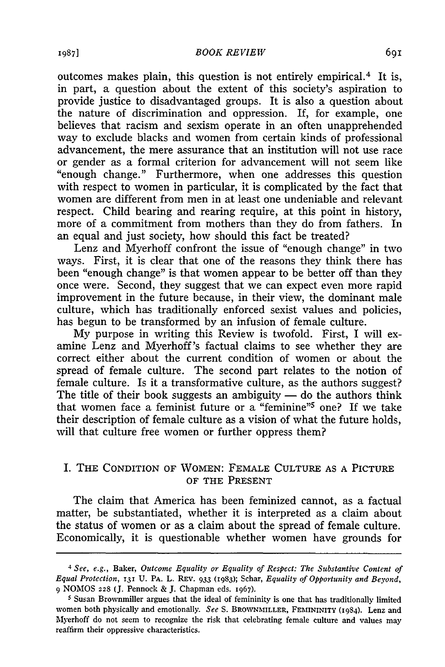outcomes makes plain, this question is not entirely empirical.<sup>4</sup> It is, in part, a question about the extent of this society's aspiration to provide justice to disadvantaged groups. It is also a question about the nature of discrimination and oppression. If, for example, one believes that racism and sexism operate in an often unapprehended way to exclude blacks and women from certain kinds of professional advancement, the mere assurance that an institution will not use race or gender as a formal criterion for advancement will not seem like "enough change." Furthermore, when one addresses this question with respect to women in particular, it is complicated by the fact that women are different from men in at least one undeniable and relevant respect. Child bearing and rearing require, at this point in history, more of a commitment from mothers than they do from fathers. In an equal and just society, how should this fact be treated?

Lenz and Myerhoff confront the issue of "enough change" in two ways. First, it is clear that one of the reasons they think there has been "enough change" is that women appear to be better off than they once were. Second, they suggest that we can expect even more rapid improvement in the future because, in their view, the dominant male culture, which has traditionally enforced sexist values and policies, has begun to be transformed by an infusion of female culture.

My purpose in writing this Review is twofold. First, I will examine Lenz and Myerhoff's factual claims to see whether they are correct either about the current condition of women or about the spread of female culture. The second part relates to the notion of female culture. Is it a transformative culture, as the authors suggest? The title of their book suggests an ambiguity  $-$  do the authors think that women face a feminist future or a "feminine"5 one? If we take their description of female culture as a vision of what the future holds, will that culture free women or further oppress them?

#### I. THE CONDITION OF WOMEN: FEMALE CULTURE AS A PICTURE OF THE PRESENT

The claim that America has been feminized cannot, as a factual matter, be substantiated, whether it is interpreted as a claim about the status of women or as a claim about the spread of female culture. Economically, it is questionable whether women have grounds for

<sup>4</sup> *See, e.g.,* Baker, *Outcome Equality or Equality of Respect:* The *Substantive Content of Equal Protection,* **i31** U. PA. L. REv. 933 (1983); Schar, *Equality of Opportunity and Beyond,* **9** NOMOS **228** (J. Pennock & J. Chapman eds. 1967).

**<sup>5</sup>** Susan Brownmiller argues that the ideal of femininity is one that has traditionally limited women both physically and emotionally. *See* **S.** BROWNMILLER, FEMININITY (1984). Lenz and Myerhoff do not seem to recognize the risk that celebrating female culture and values may reaffirm their oppressive characteristics.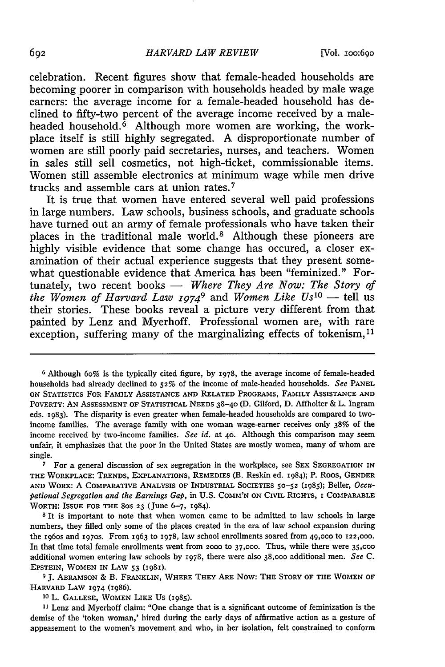celebration. Recent figures show that female-headed households are becoming poorer in comparison with households headed by male wage earners: the average income for a female-headed household has declined to fifty-two percent of the average income received by a maleheaded household.<sup>6</sup> Although more women are working, the workplace itself is still highly segregated. A disproportionate number of women are still poorly paid secretaries, nurses, and teachers. Women in sales still sell cosmetics, not high-ticket, commissionable items. Women still assemble electronics at minimum wage while men drive trucks and assemble cars at union rates.<sup>7</sup>

It is true that women have entered several well paid professions in large numbers. Law schools, business schools, and graduate schools have turned out an army of female professionals who have taken their places in the traditional male world.8 Although these pioneers are highly visible evidence that some change has occured, a closer examination of their actual experience suggests that they present somewhat questionable evidence that America has been "feminized." Fortunately, two recent books - *Where They Are Now: The Story of the Women of Harvard Law 1974*<sup>9</sup> and *Women Like Us*<sup>10</sup> — tell us their stories. These books reveal a picture very different from that painted by Lenz and Myerhoff. Professional women are, with rare exception, suffering many of the marginalizing effects of tokenism,  $11$ 

**<sup>6</sup>** Although 6o% is the typically cited figure, **by** 1978, the average income of female-headed households had already declined to 52% of the income of male-headed households. *See* **PANEL ON** STATISTICS FOR FAMILY ASSISTANCE **AND** RELATED PROGRAMS, FAMILY **ASSISTANCE AND** POVERTY: AN ASSESSMENT OF STATISTICAL **NEEDS** 38-40 (D. Gilford, D. Affholter & L. Ingram eds. 1983). The disparity is even greater when female-headed households are compared to twoincome families. The average family with one woman wage-earner receives only 38% of the income received by two-income families. *See id.* at 40. Although this comparison may seem unfair, it emphasizes that the poor in the United States are mostly women, many of whom are single.

**<sup>7</sup>** For a general discussion of sex segregation in the workplace, see SEX SEGREGATION IN **THE** WORKPLACE: **TRENDS,** EXPLANATIONS, **REMEDIES** (B. Reskin ed. 1984); P. Roos, **GENDER AND** WORK: A COMPARATIVE ANALYSIS OF INDUSTRIAL SOCIETIES 50-52 **(1985);** Belier, *Occupational Segregation and the Earnings Gap,* in U.S. COMM'N ON CIVIL RIGHTS, **I** COMPARABLE WORTH: ISSUE FOR THE **8OS 23** (June 6-7, 1984).

**<sup>8</sup>** It is important to note that when women came to be admitted to law schools in large numbers, they filled only some of the places created in the era of law school expansion during the I96os and I97Os. From 1963 to 1978, law school enrollments soared from **49,000** to **122,000.** In that time total female enrollments went from **2000** to **37,000.** Thus, while there were **35,000** additional women entering law schools by 1978, there were also **38,000** additional men. *See C.* EPSTEIN, WOMEN IN **LAW** 53 (Ig8I).

**<sup>9</sup>** J. ABRAMSON & B. FRANKLIN, WHERE THEY ARE Now: THE STORY OF THE WOMEN OF HARVARD LAw 1974 (T986).

**<sup>10</sup>**L. GALLESE, WOMEN LIKE Us (1985).

**<sup>11</sup>** Lenz and Myerhoff claim: "One change that is a significant outcome of feminization is the demise of the 'token woman,' hired during the early days of affirmative action as a gesture of appeasement to the women's movement and who, in her isolation, felt constrained to conform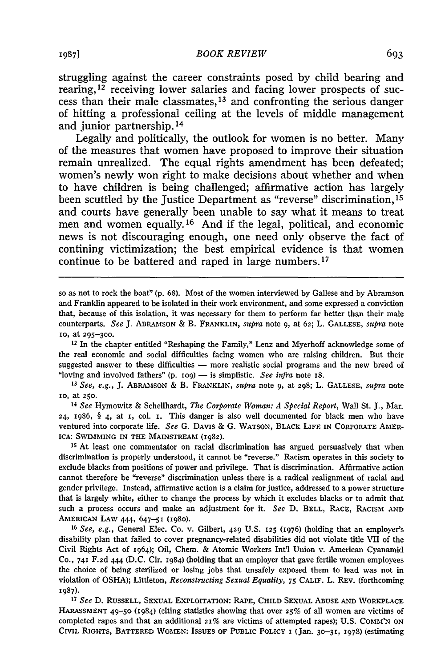struggling against the career constraints posed by child bearing and rearing, 12 receiving lower salaries and facing lower prospects of success than their male classmates, 13 and confronting the serious danger of hitting a professional ceiling at the levels of middle management and junior partnership. 14

Legally and politically, the outlook for women is no better. Many of the measures that women have proposed to improve their situation remain unrealized. The equal rights amendment has been defeated; women's newly won right to make decisions about whether and when to have children is being challenged; affirmative action has largely been scuttled by the Justice Department as "reverse" discrimination, <sup>15</sup> and courts have generally been unable to say what it means to treat men and women equally.16 And if the legal, political, and economic news is not discouraging enough, one need only observe the fact of contining victimization; the best empirical evidence is that women continue to be battered and raped in large numbers.17

*<sup>13</sup>See, e.g.,* J. ABRAMSON & B. FRANKLIN, *supra* note 9, at 298; L. GALLESE, *supra* note **io,** at **250.**

*14 See* Hymowitz & Schellhardt, *The Corporate Woman: A Special Report,* Wall St. **J.,** Mar. 24, 1986, § 4, at **i,** col. **I.** This danger is also well documented for black men who have ventured into corporate life. *See* G. DAvis & **G. WATSON,** BLACK LIFE **IN** CORPORATE AMER-**ICA:** SWIMMING IN THE **MAINSTREAM** (1982).

**Is** At least one commentator on racial discrimination has argued persuasively that when discrimination is properly understood, it cannot be "reverse." Racism operates in this society to exclude blacks from positions of power and privilege. That is discrimination. Affirmative action cannot therefore be "reverse" discrimination unless there is a radical realignment of racial and gender privilege. Instead, affirmative action is a claim for justice, addressed to a power structure that is largely white, either to change the process **by** which it excludes blacks or to admit that such a process occurs and make an adjustment for it. *See* **D.** BELL, RACE, RACISM **AND** AMERICAN LAW 444, 647-51 (1980).

**16** *See, e.g.,* General Elec. Co. v. Gilbert, **429** U.S. 125 (1976) (holding that an employer's disability plan that failed to cover pregnancy-related disabilities did not violate title VII of the Civil Rights Act of 1964); Oil, Chem. & Atomic Workers Int'l Union v. American Cyanamid Co., 741 F.2d 444 (D.C. Cir. 1984) (holding that an employer that gave fertile women employees the choice of being sterilized or losing jobs that unsafely exposed them to lead was not in violation of OSHA); Littleton, *Reconstructing Sexual Equality,* **75** CALIF. L. REv. (forthcoming x987).

**17** *See* D. RUSSELL, **SEXUAL** EXPLOITATION: RAPE, **CHILD SEXUAL** ABUSE AND WORKPLACE HARASSMENT **49-50** (1984) (citing statistics showing that over **25%** of all women are victims of completed rapes and that an additional 21% are victims of attempted rapes); **U.S.** COMM'N ON CIVIL RIGHTS, BATTERED **WOMEN:** ISSUES OF PUBLIC POLICY **1** (Jan. **30-31, 1978)** (estimating

so as not to rock the boat" **(p. 68).** Most of the women interviewed by Gallese and by Abramson and Franklin appeared to be isolated in their work environment, and some expressed a conviction that, because of this isolation, it was necessary for them to perform far better than their male counterparts. *See* J. ABRAMSON & B. FRANKLIN, *supra* note **9,** at 62; L. GALLESE, *supra* note io, at 295-300.

<sup>12</sup> In the chapter entitled "Reshaping the Family," Lenz and Myerhoff acknowledge some of the real economic and social difficulties facing women who are raising children. But their suggested answer to these difficulties - more realistic social programs and the new breed of "loving and involved fathers" (p. 109) - is simplistic. See infra note 18.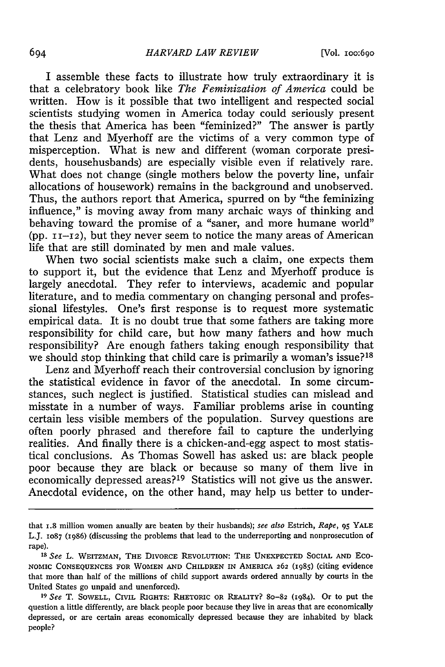I assemble these facts to illustrate how truly extraordinary it is that a celebratory book like *The Feminization of America* could be written. How is it possible that two intelligent and respected social scientists studying women in America today could seriously present the thesis that America has been "feminized?" The answer is partly that Lenz and Myerhoff are the victims of a very common type of misperception. What is new and different (woman corporate presidents, househusbands) are especially visible even if relatively rare. What does not change (single mothers below the poverty line, unfair allocations of housework) remains in the background and unobserved. Thus, the authors report that America, spurred on by "the feminizing influence," is moving away from many archaic ways of thinking and behaving toward the promise of a "saner, and more humane world" (pp. **I1-12),** but they never seem to notice the many areas of American life that are still dominated by men and male values.

When two social scientists make such a claim, one expects them to support it, but the evidence that Lenz and Myerhoff produce is largely anecdotal. They refer to interviews, academic and popular literature, and to media commentary on changing personal and professional lifestyles. One's first response is to request more systematic empirical data. It is no doubt true that some fathers are taking more responsibility for child care, but how many fathers and how much responsibility? Are enough fathers taking enough responsibility that we should stop thinking that child care is primarily a woman's issue?<sup>18</sup>

Lenz and Myerhoff reach their controversial conclusion by ignoring the statistical evidence in favor of the anecdotal. In some circumstances, such neglect is justified. Statistical studies can mislead and misstate in a number of ways. Familiar problems arise in counting certain less visible members of the population. Survey questions are often poorly phrased and therefore fail to capture the underlying realities. And finally there is a chicken-and-egg aspect to most statistical conclusions. As Thomas Sowell has asked us: are black people poor because they are black or because so many of them live in economically depressed areas?<sup>19</sup> Statistics will not give us the answer. Anecdotal evidence, on the other hand, may help us better to under-

that 1.8 million women anually are beaten by their husbands); *see also* Estrich, *Rape, 95* **YALE** L.J. **1087** (1986) (discussing the problems that lead to the underreporting and nonprosecution of rape).

*<sup>18</sup> See* L. WEITZMAN, **THE** DIVORCE REVOLUTION: **THE UNEXPECTED** SOCIAL **AND** ECO-**NOMIC CONSEQUENCES FOR WOMEN AND** CHILDREN **IN AMERICA 262** (1985) (citing evidence that more than half of the millions of child support awards ordered annually by courts in the United States go unpaid and unenforced).

**<sup>19</sup>***See* T. **SOWELL,** CIVIL **RIGHTS:** RHETORIC **OR** REALITY? **80-82** (1984). Or to put the question a little differently, are black people poor because they live in areas that are economically depressed, or are certain areas economically depressed because they are inhabited by black people?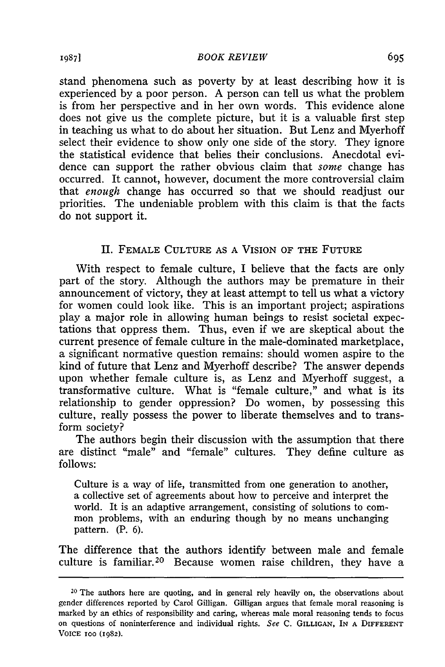stand phenomena such as poverty by at least describing how it is experienced by a poor person. A person can tell us what the problem is from her perspective and in her own words. This evidence alone does not give us the complete picture, but it is a valuable first step in teaching us what to do about her situation. But Lenz and Myerhoff select their evidence to show only one side of the story. They ignore the statistical evidence that belies their conclusions. Anecdotal evidence can support the rather obvious claim that *some* change has occurred. It cannot, however, document the more controversial claim that *enough* change has occurred so that we should readjust our priorities. The undeniable problem with this claim is that the facts do not support it.

#### II. **FEMALE CULTURE AS A** VISION OF THE **FUTURE**

With respect to female culture, I believe that the facts are only part of the story. Although the authors may be premature in their announcement of victory, they at least attempt to tell us what a victory for women could look like. This is an important project; aspirations play a major role in allowing human beings to resist societal expectations that oppress them. Thus, even if we are skeptical about the current presence of female culture in the male-dominated marketplace, a significant normative question remains: should women aspire to the kind of future that Lenz and Myerhoff describe? The answer depends upon whether female culture is, as Lenz and Myerhoff suggest, a transformative culture. What is "female culture," and what is its relationship to gender oppression? Do women, by possessing this culture, really possess the power to liberate themselves and to transform society?

The authors begin their discussion with the assumption that there are distinct "male" and "female" cultures. They define culture as follows:

Culture is a way of life, transmitted from one generation to another, a collective set of agreements about how to perceive and interpret the world. It is an adaptive arrangement, consisting of solutions to common problems, with an enduring though by no means unchanging pattern. (P. 6).

The difference that the authors identify between male and female culture is familiar.20 Because women raise children, they have a

**<sup>20</sup>**The authors here are quoting, and in general rely heavily on, the observations about gender differences reported by Carol Gilligan. Gilligan argues that female moral reasoning is marked by an ethics of responsibility and caring, whereas male moral reasoning tends to focus on questions of noninterference and individual rights. See **C. GILLIGAN,** IN **A** DIFFERENT VOICE **100 (1982).**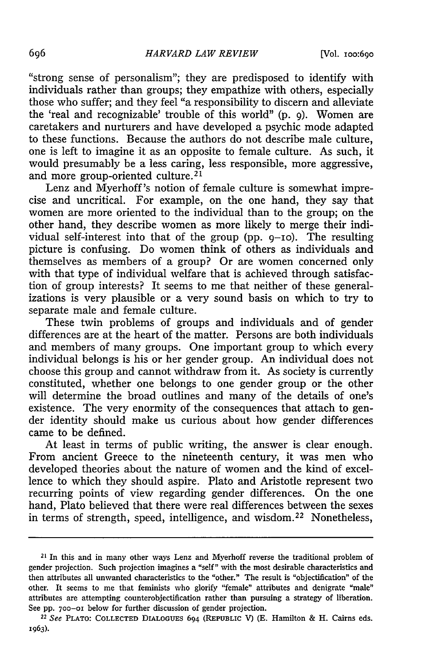"strong sense of personalism"; they are predisposed to identify with individuals rather than groups; they empathize with others, especially those who suffer; and they feel "a responsibility to discern and alleviate the 'real and recognizable' trouble of this world" (p. **9).** Women are caretakers and nurturers and have developed a psychic mode adapted to these functions. Because the authors do not describe male culture, one is left to imagine it as an opposite to female culture. As such, it would presumably be a less caring, less responsible, more aggressive, and more group-oriented culture.<sup>21</sup>

Lenz and Myerhoff's notion of female culture is somewhat imprecise and uncritical. For example, on the one hand, they say that women are more oriented to the individual than to the group; on the other hand, they describe women as more likely to merge their individual self-interest into that of the group (pp. 9-IO). The resulting picture is confusing. Do women think of others as individuals and themselves as members of a group? Or are women concerned only with that type of individual welfare that is achieved through satisfaction of group interests? It seems to me that neither of these generalizations is very plausible or a very sound basis on which to try to separate male and female culture.

These twin problems of groups and individuals and of gender differences are at the heart of the matter. Persons are both individuals and members of many groups. One important group to which every individual belongs is his or her gender group. An individual does not choose this group and cannot withdraw from it. As society is currently constituted, whether one belongs to one gender group or the other will determine the broad outlines and many of the details of one's existence. The very enormity of the consequences that attach to gender identity should make us curious about how gender differences came to be defined.

At least in terms of public writing, the answer is clear enough. From ancient Greece to the nineteenth century, it was men who developed theories about the nature of women and the kind of excellence to which they should aspire. Plato and Aristotle represent two recurring points of view regarding gender differences. On the one hand, Plato believed that there were real differences between the sexes in terms of strength, speed, intelligence, and wisdom.<sup>22</sup> Nonetheless,

<sup>21</sup> In this and in many other ways Lenz and Myerhoff reverse the traditional problem of gender projection. Such projection imagines a "self" with the most desirable characteristics and then attributes all unwanted characteristics to the "other." The result is "objectification" of the other. It seems to me that feminists who glorify "female" attributes and denigrate "male" attributes are attempting counterobjectification rather than pursuing a strategy of liberation. See pp. **7oo-oi** below for further discussion of gender projection.

*<sup>22</sup>See* **PLATO: COLLECTED DIALOGUES** 694 **(REPUBLIC** V) **(E.** Hamilton & H. Cairns eds. 1963).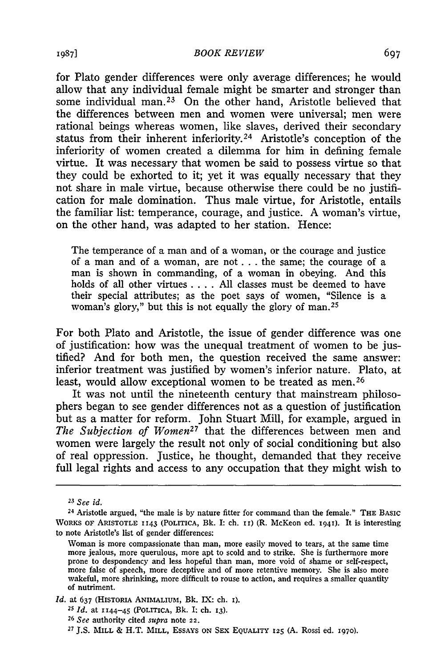for Plato gender differences were only average differences; he would allow that any individual female might be smarter and stronger than some individual man.<sup>23</sup> On the other hand, Aristotle believed that the differences between men and women were universal; men were rational beings whereas women, like slaves, derived their secondary status from their inherent inferiority. 24 Aristotle's conception of the inferiority of women created a dilemma for him in defining female virtue. It was necessary that women be said to possess virtue so that they could be exhorted to it; yet it was equally necessary that they not share in male virtue, because otherwise there could be no justification for male domination. Thus male virtue, for Aristotle, entails the familiar list: temperance, courage, and justice. A woman's virtue, on the other hand, was adapted to her station. Hence:

The temperance of a man and of a woman, or the courage and justice of a man and of a woman, are not **...** the same; the courage of a man is shown in commanding, of a woman in obeying. And this holds of all other virtues .... All classes must be deemed to have their special attributes; as the poet says of women, "Silence is a woman's glory," but this is not equally the glory of man.<sup>25</sup>

For both Plato and Aristotle, the issue of gender difference was one of justification: how was the unequal treatment of women to be justified? And for both men, the question received the same answer: inferior treatment was justified by women's inferior nature. Plato, at least, would allow exceptional women to be treated as men. <sup>26</sup>

It was not until the nineteenth century that mainstream philosophers began to see gender differences not as a question of justification but as a matter for reform. John Stuart Mill, for example, argued in *The Subjection of Women<sup>27</sup>* that the differences between men and women were largely the result not only of social conditioning but also of real oppression. Justice, he thought, demanded that they receive full legal rights and access to any occupation that they might wish to

*<sup>23</sup> See id.*

<sup>24</sup> Aristotle argued, "the male is by nature fitter for command than the female." **THE** BASIC **XVORKS** OF ARISTOTLE **1143** (POLITICA, Bk. I: ch. ii) (R. McKeon ed. 1941). It is interesting to note Aristotle's list of gender differences:

Woman is more compassionate than man, more easily moved to tears, at the same time<br>more jealous, more querulous, more apt to scold and to strike. She is furthermore more<br>prone to despondency and less hopeful than man, more more false of speech, more deceptive and of more retentive memory. She is also more wakeful, more shrinking, more difficult to rouse to action, and requires a smaller quantity of nutriment.

*Id.* at **637 (HISTORIA ANIMALIUM, Bk.** IX: ch. I).

<sup>25</sup>*Id.* at 1144-45 **(POLITIcA,** Bk. I: ch. 13).

**<sup>26</sup>** *See* authority cited *supra* note **22.**

<sup>27</sup> J.S. **MILL &** H.T. MILL, ESSAYS **ON** SEX **EQUALITY 125 (A.** Rossi ed. 1970).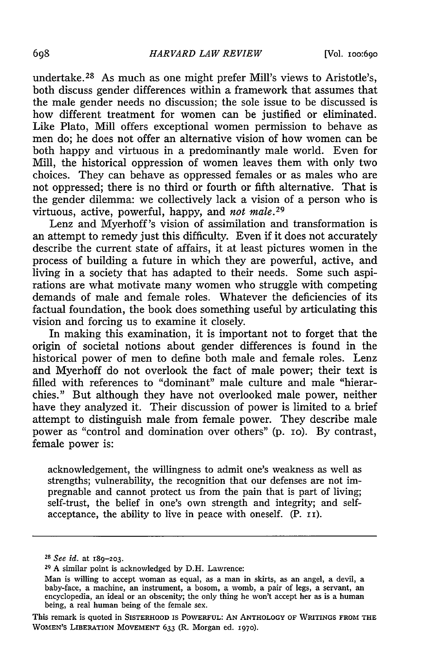undertake. 28 As much as one might prefer Mill's views to Aristotle's, both discuss gender differences within a framework that assumes that the male gender needs no discussion; the sole issue to be discussed is how different treatment for women can be justified or eliminated. Like Plato, Mill offers exceptional women permission to behave as men do; he does not offer an alternative vision of how women can be both happy and virtuous in a predominantly male world. Even for Mill, the historical oppression of women leaves them with only two choices. They can behave as oppressed females or as males who are not oppressed; there is no third or fourth or fifth alternative. That is the gender dilemma: we collectively lack a vision of a person who is virtuous, active, powerful, happy, and *not male.29*

Lenz and Myerhoff's vision of assimilation and transformation is an attempt to remedy just this difficulty. Even if it does not accurately describe the current state of affairs, it at least pictures women in the process of building a future in which they are powerful, active, and living in a society that has adapted to their needs. Some such aspirations are what motivate many women who struggle with competing demands of male and female roles. Whatever the deficiencies of its factual foundation, the book does something useful by articulating this vision and forcing us to examine it closely.

In making this examination, it is important not to forget that the origin of societal notions about gender differences is found in the historical power of men to define both male and female roles. Lenz and Myerhoff do not overlook the fact of male power; their text is filled with references to "dominant" male culture and male "hierarchies." But although they have not overlooked male power, neither have they analyzed it. Their discussion of power is limited to a brief attempt to distinguish male from female power. They describe male power as "control and domination over others" (p. io). By contrast, female power is:

acknowledgement, the willingness to admit one's weakness as well as strengths; vulnerability, the recognition that our defenses are not impregnable and cannot protect us from the pain that is part of living; self-trust, the belief in one's own strength and integrity; and selfacceptance, the ability to live in peace with oneself. (P. xi).

**<sup>28</sup>** *See id.* at 189-203.

**<sup>29</sup>** A similar point is acknowledged by D.H. Lawrence:

Man is willing to accept woman as equal, as a man in skirts, as an angel, a devil, a baby-face, a machine, an instrument, a bosom, a womb, a pair of legs, a servant, an encyclopedia, an ideal or an obscenity; the only thing he won't accept her as is a human being, a real human being of the female sex.

This remark is quoted in SISTERHOOD **IS** POWERFUL: **AN ANTHOLOGY OF** WRITINGS **FROM** THE WOMEN'S LIBERATION **MOVEMENT** 633 (R. Morgan ed. **1970).**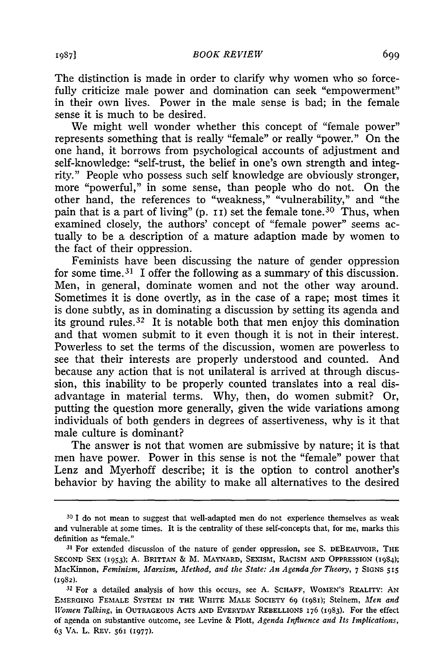The distinction is made in order to clarify why women who so forcefully criticize male power and domination can seek "empowerment" in their own lives. Power in the male sense is bad; in the female sense it is much to be desired.

We might well wonder whether this concept of "female power" represents something that is really "female" or really "power." On the one hand, it borrows from psychological accounts of adjustment and self-knowledge: "self-trust, the belief in one's own strength and integrity." People who possess such self knowledge are obviously stronger, more "powerful," in some sense, than people who do not. On the other hand, the references to "weakness," "vulnerability," and "the pain that is a part of living"  $(p, 11)$  set the female tone.<sup>30</sup> Thus, when examined closely, the authors' concept of "female power" seems actually to be a description of a mature adaption made by women to the fact of their oppression.

Feminists have been discussing the nature of gender oppression for some time.<sup>31</sup> I offer the following as a summary of this discussion. Men, in general, dominate women and not the other way around. Sometimes it is done overtly, as in the case of a rape; most times it is done subtly, as in dominating a discussion by setting its agenda and its ground rules.<sup>32</sup> It is notable both that men enjoy this domination and that women submit to it even though it is not in their interest. Powerless to set the terms of the discussion, women are powerless to see that their interests are properly understood and counted. And because any action that is not unilateral is arrived at through discussion, this inability to be properly counted translates into a real disadvantage in material terms. Why, then, do women submit? Or, putting the question more generally, given the wide variations among individuals of both genders in degrees of assertiveness, why is it that male culture is dominant?

The answer is not that women are submissive by nature; it is that men have power. Power in this sense is not the "female" power that Lenz and Myerhoff describe; it is the option to control another's behavior by having the ability to make all alternatives to the desired

<sup>30</sup>**1** do not mean to suggest that well-adapted men do not experience themselves as weak and vulnerable at some times. It is the centrality of these self-concepts that, for me, marks this definition as "female."

<sup>&</sup>lt;sup>31</sup> For extended discussion of the nature of gender oppression, see S. DEBEAUVOIR, THE **SECOND SEX** (953); **A.** BRITTAN & M. MAYNARD, **SEXISM,** RACISM **AND OPPRESSION** (1984); MacKinnon, *Feminism, Marxism, Method, and the State: An Agenda for Theory, 7 SIGNS 515* **(1982).**

**<sup>32</sup>**For a detailed analysis of how this occurs, **see** A. **SCHAFF,** WOMEN'S REALITY: **AN** EMERGING **FEMALE** SYSTEM **IN THE WHITE MALE SOCIETY 69 (i98i);** Steinem, *Men and Women Talking,* in OUTRAGEOUS **ACTS AND** EVERYDAY REBELLIONS **176** (1983). **For** the effect of agenda on substantive outcome, see Levine & Plott, *Agenda Influence and Its Implications,* <sup>63</sup>**VA. L.** Rv. **561** (1977).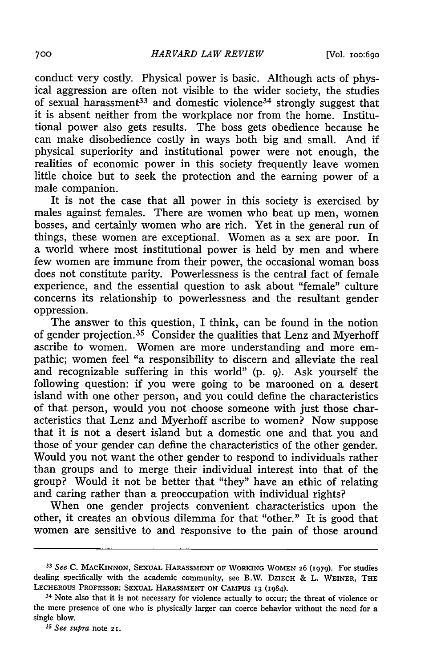conduct very costly. Physical power is basic. Although acts of physical aggression are often not visible to the wider society, the studies of sexual harassment<sup>33</sup> and domestic violence<sup>34</sup> strongly suggest that it is absent neither from the workplace nor from the home. Institutional power also gets results. The boss gets obedience because he can make disobedience costly in ways both big and small. And if physical superiority and institutional power were not enough, the realities of economic power in this society frequently leave women little choice but to seek the protection and the earning power of a male companion.

It is not the case that all power in this society is exercised by males against females. There are women who beat up men, women bosses, and certainly women who are rich. Yet in the general run of things, these women are exceptional. Women as a sex are poor. In a world where most institutional power is held by men and where few women are immune from their power, the occasional woman boss does not constitute parity. Powerlessness is the central fact of female experience, and the essential question to ask about "female" culture concerns its relationship to powerlessness and the resultant gender oppression.

The answer to this question, I think, can be found in the notion of gender projection. 35 Consider the qualities that Lenz and Myerhoff ascribe to women. Women are more understanding and more empathic; women feel "a responsibility to discern and alleviate the real and recognizable suffering in this world" (p. 9). Ask yourself the following question: if you were going to be marooned on a desert island with one other person, and you could define the characteristics of that person, would you not choose someone with just those characteristics that Lenz and Myerhoff ascribe to women? Now suppose that it is not a desert island but a domestic one and that you and those of your gender can define the characteristics of the other gender. Would you not want the other gender to respond to individuals rather than groups and to merge their individual interest into that of the group? Would it not be better that "they" have an ethic of relating and caring rather than a preoccupation with individual rights?

When one gender projects convenient characteristics upon the other, it creates an obvious dilemma for that "other." It is good that women are sensitive to and responsive to the pain of those around

*<sup>33</sup>See* C. MACKINNON, **SEXUAL** HARASSMENT OF WORKING WOMEN **26** (1979). For studies dealing specifically with the academic community, see B.W. DZIECH & L. WEINER, THE **LECHEROUS** PROFESSOR: **SEXUAL HARASSMENT ON CAMPUS** 13 (1984).

<sup>34</sup> Note also that it is not necessary for violence actually to occur; the threat of violence or the mere presence of one who is physically larger can coerce behavior without the need for a single blow.

**<sup>3</sup>s** *See supra* note 2 **1.**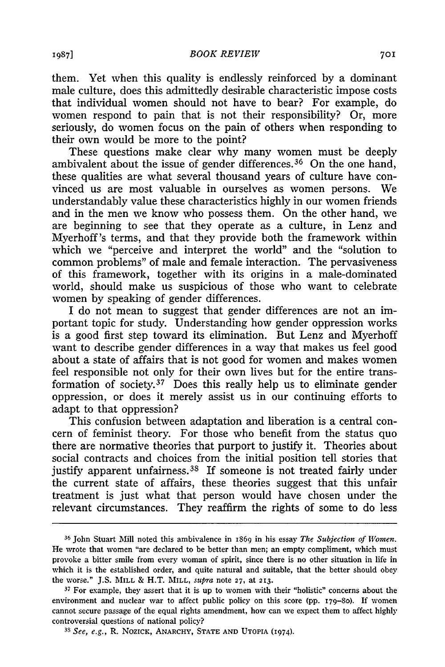them. Yet when this quality is endlessly reinforced by a dominant male culture, does this admittedly desirable characteristic impose costs that individual women should not have to bear? For example, do women respond to pain that is not their responsibility? Or, more seriously, do women focus on the pain of others when responding to their own would be more to the point?

These questions make clear why many women must be deeply ambivalent about the issue of gender differences.<sup>36</sup> On the one hand, these qualities are what several thousand years of culture have convinced us are most valuable in ourselves as women persons. We understandably value these characteristics highly in our women friends and in the men we know who possess them. On the other hand, we are beginning to see that they operate as a culture, in Lenz and Myerhoff's terms, and that they provide both the framework within which we "perceive and interpret the world" and the "solution to common problems" of male and female interaction. The pervasiveness of this framework, together with its origins in a male-dominated world, should make us suspicious of those who want to celebrate women by speaking of gender differences.

I do not mean to suggest that gender differences are not an important topic for study. Understanding how gender oppression works is a good first step toward its elimination. But Lenz and Myerhoff want to describe gender differences in a way that makes us feel good about a state of affairs that is not good for women and makes women feel responsible not only for their own lives but for the entire transformation of society. $37$  Does this really help us to eliminate gender oppression, or does it merely assist us in our continuing efforts to adapt to that oppression?

This confusion between adaptation and liberation is a central concern of feminist theory. For those who benefit from the status quo there are normative theories that purport to justify it. Theories about social contracts and choices from the initial position tell stories that justify apparent unfairness.<sup>38</sup> If someone is not treated fairly under the current state of affairs, these theories suggest that this unfair treatment is just what that person would have chosen under the relevant circumstances. They reaffirm the rights of some to do less

**<sup>36</sup>**John Stuart Mill noted this ambivalence in 1869 in his essay *The Subjection of Women.* He wrote that women "are declared to be better than men; an empty compliment, which must provoke a bitter smile from every woman of spirit, since there is no other situation in life in which it is the established order, and quite natural and suitable, that the better should obey the worse." J.S. MILL & H.T. MILL, *supra* note **27,** at **213.**

**<sup>37</sup>**For example, they assert that it is up to women with their "holistic" concerns about the environment and nuclear war to affect public policy on this score (pp. **179-80).** If women cannot secure passage of the equal rights amendment, how can we expect them to affect highly controversial questions of national policy?

*<sup>38</sup>See, e.g.,* R. NOZICK, ANARCHY, **STATE AND UTOPIA** (1974).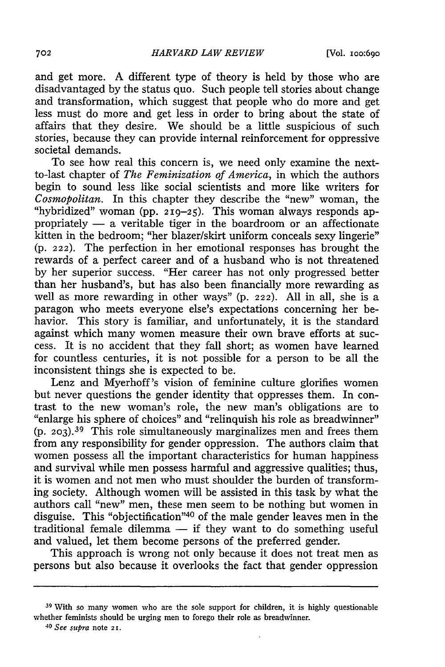and get more. A different type of theory is held by those who are disadvantaged by the status quo. Such people tell stories about change and transformation, which suggest that people who do more and get less must do more and get less in order to bring about the state of affairs that they desire. We should be a little suspicious of such stories, because they can provide internal reinforcement for oppressive societal demands.

To see how real this concern is, we need only examine the nextto-last chapter of *The Feminization of America,* in which the authors begin to sound less like social scientists and more like writers for *Cosmopolitan.* In this chapter they describe the "new" woman, the "hybridized" woman (pp. **219-25).** This woman always responds appropriately  $-$  a veritable tiger in the boardroom or an affectionate kitten in the bedroom; "her blazer/skirt uniform conceals sexy lingerie" (p. 222). The perfection in her emotional responses has brought the rewards of a perfect career and of a husband who is not threatened by her superior success. "Her career has not only progressed better than her husband's, but has also been financially more rewarding as well as more rewarding in other ways" (p. 222). All in all, she is a paragon who meets everyone else's expectations concerning her behavior. This story is familiar, and unfortunately, it is the standard against which many women measure their own brave efforts at success. It is no accident that they fall short; as women have learned for countless centuries, it is not possible for a person to be all the inconsistent things she is expected to be.

Lenz and Myerhoff's vision of feminine culture glorifies women but never questions the gender identity that oppresses them. In contrast to the new woman's role, the new man's obligations are to "enlarge his sphere of choices" and "relinquish his role as breadwinner" (p. **203).39** This role simultaneously marginalizes men and frees them from any responsibility for gender oppression. The authors claim that women possess all the important characteristics for human happiness and survival while men possess harmful and aggressive qualities; thus, it is women and not men who must shoulder the burden of transforming society. Although women will be assisted in this task by what the authors call "new" men, these men seem to be nothing but women in disguise. This "objectification"<sup>40</sup> of the male gender leaves men in the traditional female dilemma  $-$  if they want to do something useful and valued, let them become persons of the preferred gender.

This approach is wrong not only because it does not treat men as persons but also because it overlooks the fact that gender oppression

<sup>39</sup>With so many women who are the sole support for children, it is highly questionable whether feminists should be urging men to forego their role as breadwinner.

**<sup>40</sup>***See supra* note 2 **1.**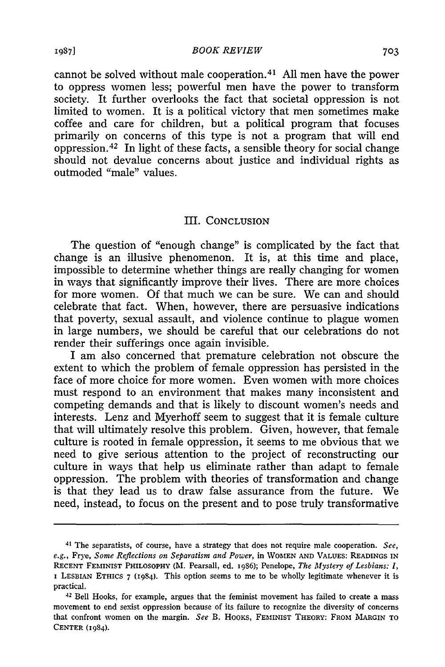cannot be solved without male cooperation.<sup>41</sup> All men have the power to oppress women less; powerful men have the power to transform society. It further overlooks the fact that societal oppression is not limited to women. It is a political victory that men sometimes make coffee and care for children, but a political program that focuses primarily on concerns of this type is not a program that will end oppression. 42 In light of these facts, a sensible theory for social change should not devalue concerns about justice and individual rights as outmoded "male" values.

#### III. **CONCLUSION**

The question of "enough change" is complicated by the fact that change is an illusive phenomenon. It is, at this time and place, impossible to determine whether things are really changing for women in ways that significantly improve their lives. There are more choices for more women. Of that much we can be sure. We can and should celebrate that fact. When, however, there are persuasive indications that poverty, sexual assault, and violence continue to plague women in large numbers, we should be careful that our celebrations do not render their sufferings once again invisible.

I am also concerned that premature celebration not obscure the extent to which the problem of female oppression has persisted in the face of more choice for more women. Even women with more choices must respond to an environment that makes many inconsistent and competing demands and that is likely to discount women's needs and interests. Lenz and Myerhoff seem to suggest that it is female culture that will ultimately resolve this problem. Given, however, that female culture is rooted in female oppression, it seems to me obvious that we need to give serious attention to the project of reconstructing our culture in ways that help us eliminate rather than adapt to female oppression. The problem with theories of transformation and change is that they lead us to draw false assurance from the future. We need, instead, to focus on the present and to pose truly transformative

1987]

<sup>&</sup>lt;sup>41</sup> The separatists, of course, have a strategy that does not require male cooperation. See, *e.g.,* Frye, *Some Reflections on Separatism and Power,* in WOMEN **AND VALUES: READINGS** IN **RECENT** FEMINIST PHILOSOPHY (M. Pearsall, ed. 1986); Penelope, *The Mystery of Lesbians: I,* I **LESBIAN** ETHICS 7 (1984). This option seems to me to be wholly legitimate whenever it is practical.

<sup>42</sup> Bell Hooks, for example, argues that the feminist movement has failed to create a mass movement to end sexist oppression because of its failure to recognize the diversity of concerns that confront women on the margin. *See* B. HOOKS, FEMINIST THEORY: FROM MARGIN TO **CENTER** (1984).